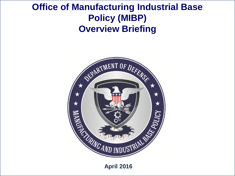## **Clice of Manufacturing Industrial Base Policy (MIBP) Overview Briefing**



**April 2016**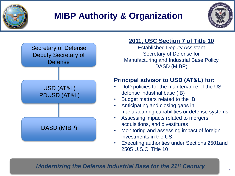

# **MIBP Authority & Organization**





### **2011, USC Section 7 of Title 10**

Established Deputy Assistant Secretary of Defense for Manufacturing and Industrial Base Policy DASD (MIBP)

### **Principal advisor to USD (AT&L) for:**

- DoD policies for the maintenance of the US defense industrial base (IB)
- Budget matters related to the IB
- Anticipating and closing gaps in manufacturing capabilities or defense systems
- Assessing impacts related to mergers, acquisitions, and divestitures
- Monitoring and assessing impact of foreign investments in the US.
- Executing authorities under Sections 2501and 2505 U.S.C. Title 10

### *Modernizing the Defense Industrial Base for the 21st Century*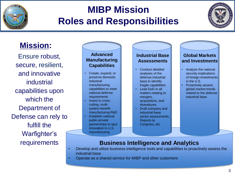

# **MIBP Mission Roles and Responsibilities**



## **Mission:**

Ensure robust, secure, resilient, and innovative industrial capabilities upon which the Department of Defense can rely to fulfill the Warfighter's

#### **Advanced Manufacturing Capabilities**

- Create, expand, or preserve domestic industrial manufacturing capabilities to meet national defense requirements
- Invest in crosscutting, multisystem-benefit manufacturing R&D
- Establish national public-private partnerships to spur innovation in U.S. manufacturing

#### **Industrial Base Assessments**

- Conduct detailed analyses of the defense industrial base to identify fragile capabilities
- Lead DoD in all matters relating to mergers, acquisitions, and divestitures
- Draft company and industrial base sector assessments, Reports to Congress, etc

#### **Global Markets and Investments**

- Analyze the national security implications of foreign investments in the U.S.
- Proactively assess global market trends related to the defense industrial base

#### requirements **Business Intelligence and Analytics**

- Develop and utilize business intelligence tools and capabilities to proactively assess the industrial base
- Operate as a shared service for MIBP and other customers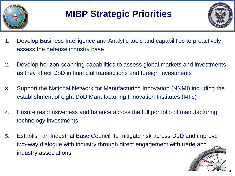

# **MIBP Strategic Priorities**



- 1. Develop Business Intelligence and Analytic tools and capabilities to proactively assess the defense industry base
- 2. Develop horizon-scanning capabilities to assess global markets and investments as they affect DoD in financial transactions and foreign investments
- 3. Support the National Network for Manufacturing Innovation (NNMI) including the establishment of eight DoD Manufacturing Innovation Institutes (MIIs)
- 4. Ensure responsiveness and balance across the full portfolio of manufacturing technology investments
- 5. Establish an Industrial Base Council to mitigate risk across DoD and improve two-way dialogue with industry through direct engagement with trade and industry associations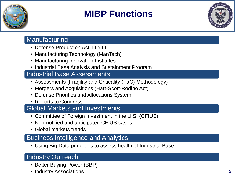

# **MIBP Functions**



## Manufacturing

- Defense Production Act Title III
- Manufacturing Technology (ManTech)
- Manufacturing Innovation Institutes
- Industrial Base Analysis and Sustainment Program

## Industrial Base Assessments

- Assessments (Fragility and Criticality (FaC) Methodology)
- Mergers and Acquisitions (Hart-Scott-Rodino Act)
- Defense Priorities and Allocations System
- Reports to Congress

## Global Markets and Investments

- Committee of Foreign Investment in the U.S. (CFIUS)
- Non-notified and anticipated CFIUS cases
- Global markets trends

## Business Intelligence and Analytics

• Using Big Data principles to assess health of Industrial Base

## Industry Outreach

- Better Buying Power (BBP)
- Industry Associations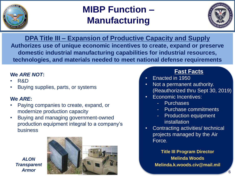

# **MIBP Function – Manufacturing**



**DPA Title III – Expansion of Productive Capacity and Supply Authorizes use of unique economic incentives to create, expand or preserve domestic industrial manufacturing capabilities for industrial resources, technologies, and materials needed to meet national defense requirements**

#### **We** *ARE NOT***:**

- R&D
- Buying supplies, parts, or systems

#### **We** *ARE***:**

- Paying companies to create, expand, or modernize production capacity
- Buying and managing government-owned production equipment integral to a company's business





### **Fast Facts**

- Enacted in 1950
- Not a permanent authority. (Reauthorized thru Sept 30, 2019)
- Economic Incentives:
	- Purchases
	- Purchase commitments
	- Production equipment installation
- Contracting activities/ technical projects managed by the Air Force.

**Title III Program Director Melinda Woods Melinda.k.woods.civ@mail.mil**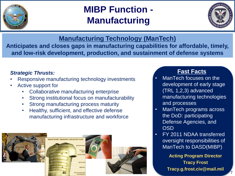

# **MIBP Function - Manufacturing**



**Manufacturing Technology (ManTech)**

**Anticipates and closes gaps in manufacturing capabilities for affordable, timely, and low-risk development, production, and sustainment of defense systems**

#### *Strategic Thrusts:*

- Responsive manufacturing technology investments
- Active support for
	- Collaborative manufacturing enterprise
	- Strong institutional focus on manufacturability
	- Strong manufacturing process maturity
	- Healthy, sufficient, and effective defense manufacturing infrastructure and workforce



### **Fast Facts**

- ManTech focuses on the development of early stage (TRL 1,2,3) advanced manufacturing technologies and processes
- ManTech programs across the DoD: participating Defense Agencies, and **OSD**
- FY 2011 NDAA transferred oversight responsibilities of ManTech to DASD(MIBP)

**Acting Program Director Tracy Frost Tracy.g.frost.civ@mail.mil**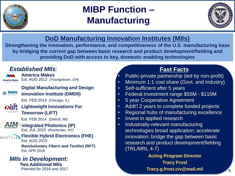

# **MIBP Function – Manufacturing**



## **DoD Manufacturing Innovation Institutes (MIIs)**

**Strengthening the innovation, performance, and competitiveness of the U.S. manufacturing base by bridging the current gap between basic research and product development/fielding and providing DoD with access to key, domestic enabling technologies**

### *Established MIIs:*

**America Makes** 

**America Makes**  Est. AUG 2012 *(Youngstown, OH)*



**Digital Manufacturing and Design Innovation Institute (DMDII)** 

Est. FEB 2014 (Chicago, IL)



**Lightweight Innovations For Tomorrow (LIFT)**

Est. FEB 2014 *(Detroit, MI)*

**Integrated Photonics (IP)**  Est. JUL 2015 *(Rochester, NY)*

#### **REXTELEX Flexible Hybrid Electronics (FHE)** Est. AUG 2015

**Revolutionary Fibers and Textiles (RFT)** Est. APR 2016

#### *MIIs in Development:*   **Two Additional MIIs**

Planned for 2016 and 2017

## **Fast Facts**

- Public-private partnership (led by non-profit)
- Minimum 1:1 cost share (Govt. and Industry)
- Self-sufficient after 5 years
- Federal investment range \$55M \$110M
- 5 year Cooperative Agreement
- Addt'l 2 years to complete funded projects
- Regional hubs of manufacturing excellence
- Invest in applied research
- Industrially-relevant manufacturing technologies broad application; accelerate innovation; bridge the gap between basic research and product development/fielding (TRL/MRL 4-7)

#### **Acting Program Director Tracy Frost Tracy.g.frost.civ@mail.mil**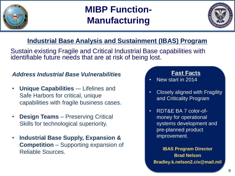

# **MIBP Function-Manufacturing**



## **Industrial Base Analysis and Sustainment (IBAS) Program**

Sustain existing Fragile and Critical Industrial Base capabilities with identifiable future needs that are at risk of being lost.

### *Address Industrial Base Vulnerabilities*

- **Unique Capabilities** -– Lifelines and Safe Harbors for critical, unique capabilities with fragile business cases.
- **Design Teams**  Preserving Critical Skills for technological superiority.
- **Industrial Base Supply, Expansion & Competition** – Supporting expansion of Reliable Sources. **IBAS Program Director**

### **Fast Facts**

- New start in 2014
- Closely aligned with Fragility and Criticality Program
- RDT&E BA 7 color-ofmoney for operational systems development and pre-planned product improvement.

**Brad Nelson Bradley.k.nelson2.civ@mail.mil**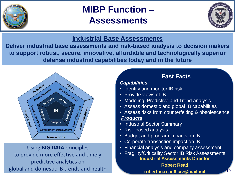

# **MIBP Function – Assessments**



### **Industrial Base Assessments**

**Deliver industrial base assessments and risk-based analysis to decision makers to support robust, secure, innovative, affordable and technologically superior defense industrial capabilities today and in the future**



Using **BIG DATA** principles to provide more effective and timely predictive analytics on global and domestic IB trends and health

## **Fast Facts**

#### *Capabilities*

- Identify and monitor IB risk
- Provide views of IB
- Modeling, Predictive and Trend analysis
- Assess domestic and global IB capabilities
- Assess risks from counterfeiting & obsolescence

#### *Products*

- Industrial Sector Summary
- Risk-based analysis
- Budget and program impacts on IB
- Corporate transaction impact on IB
- Financial analysis and company assessment
- **Industrial Assessments Director** • Fragility/Criticality Sector IB Risk Assessments

**Robert Read** robert.m.read6.civ@mail.mil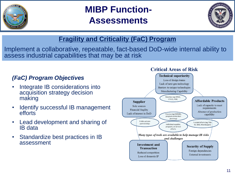

# **MIBP Function-Assessments**



## **Fragility and Criticality (FaC) Program**

Implement a collaborative, repeatable, fact-based DoD-wide internal ability to assess industrial capabilities that may be at risk

### *(FaC) Program Objectives*

- Integrate IB considerations into acquisition strategy decision making
- Identify successful IB management efforts
- Lead development and sharing of IB data
- Standardize best practices in IB assessment

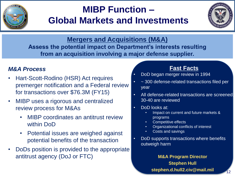

# **MIBP Function – Global Markets and Investments**



**Assess the potential impact on Department's interests resulting d.b.b. from an acquisition involving a major defense supplier. Mergers and Acquisitions (M&A)** 

### *M&A Process*

- Hart-Scott-Rodino (HSR) Act requires premerger notification and a Federal review for transactions over \$76.3M (FY15)
- MIBP uses a rigorous and centralized review process for M&As
	- MIBP coordinates an antitrust review within DoD
	- Potential issues are weighed against potential benefits of the transaction
- DoDs position is provided to the appropriate antitrust agency (DoJ or FTC) **M&A Program Director**

### **Fast Facts**

- DoD began merger review in 1994
- ~ 300 defense-related transactions filed per year
- All defense-related transactions are screened 30-40 are reviewed
- DoD looks at:
	- Impact on current and future markets & programs
	- Competitive effects
	- Organizational conflicts of interest
	- Costs and savings
- DoD supports transactions where benefits outweigh harm

## **Stephen Hull stephen.d.hull2.civ@mail.mil**

12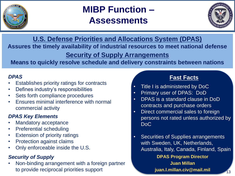

# **MIBP Function – Assessments**



**M.S. Defense Priorities and Allocations System (DPAS)** Assures the timely availability of industrial resources to meet national defense **Security of Supply Arrangements** 

## **Means to quickly resolve schedule and delivery constraints between nations**

#### *DPAS*

- Establishes priority ratings for contracts
- Defines industry's responsibilities
- Sets forth compliance procedures
- Ensures minimal interference with normal commercial activity

### *DPAS Key Elements*

- Mandatory acceptance
- Preferential scheduling
- **Extension of priority ratings**
- Protection against claims
- Only enforceable inside the U.S.

### *Security of Supply*

• Non-binding arrangement with a foreign partner to provide reciprocal priorities support

### **Fast Facts**

- Title I is administered by DoC
- Primary user of DPAS: DoD
- DPAS is a standard clause in DoD contracts and purchase orders
- Direct commercial sales to foreign persons not rated unless authorized by DoC
- Securities of Supplies arrangements with Sweden, UK, Netherlands, Australia, Italy, Canada, Finland, Spain **DPAS Program Director Juan Millan juan.l.millan.civ@mail.mil**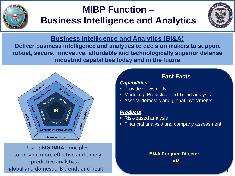

# **MIBP Function – Business Intelligence and Analytics**



### **Business Intelligence and Analytics (BI&A)**

**Deliver business intelligence and analytics to decision makers to support robust, secure, innovative, affordable and technologically superior defense industrial capabilities today and in the future**



### Using **BIG DATA** principles to provide more effective and timely predictive analytics on global and domestic IB trends and health

## **Fast Facts**

#### *Capabilities*

- Provide views of IB
- Modeling, Predictive and Trend analysis
- Assess domestic and global investments

#### *Products*

- Risk-based analysis
- Financial analysis and company assessment

#### **BI&A Program Director TBD**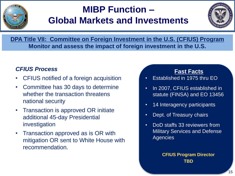

# **MIBP Function – Global Markets and Investments**



**DPA Title VII: Committee on Foreign Investment in the U.S. (CFIUS) Program Monitor and assess the impact of foreign investment in the U.S.** 

### *CFIUS Process*

- CFIUS notified of a foreign acquisition
- Committee has 30 days to determine whether the transaction threatens national security
- Transaction is approved OR initiate additional 45-day Presidential investigation
- Transaction approved as is OR with mitigation OR sent to White House with recommendation.

**Fast Facts**

- Established in 1975 thru EO
- In 2007, CFIUS established in statute (FINSA) and EO 13456
- 14 Interagency participants
- Dept. of Treasury chairs
- DoD staffs 33 reviewers from Military Services and Defense **Agencies**

**CFIUS Program Director TBD**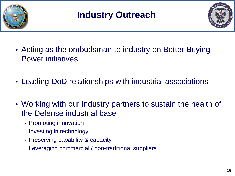



- Acting as the ombudsman to industry on Better Buying Power initiatives
- Leading DoD relationships with industrial associations
- Working with our industry partners to sustain the health of the Defense industrial base
	- Promoting innovation
	- Investing in technology
	- Preserving capability & capacity
	- Leveraging commercial / non-traditional suppliers